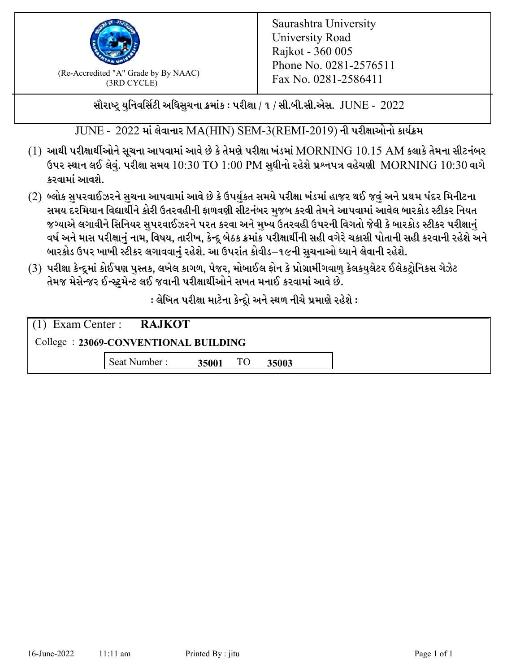

 $F_{\text{R}}$  (Re-Accredited "A" Grade by By NAAC)<br>(3PD CVCLE)<br> $F_{\text{R}}$  No. 0281-2586411 (3RD CYCLE)

સૌરાષ્ટ્ર યુનિવર્સિટી અધિસુચના ક્રમાંક : પરીક્ષા / ૧ / સી.બી.સી.એસ.  $\,$  JUNE -  $\,2022$ 

JUNE - 2022 માં લેવાનાર MA(HIN) SEM-3(REMI-2019) ની પરીક્ષાઓનો કાર્યક્રમ

- $(1)$  આથી પરીક્ષાર્થીઓને સૂચના આપવામાં આવે છે કે તેમણે પરીક્ષા ખંડમાં  $\operatorname{MORNING}$   $10.15$   $\operatorname{AM}$  કલાકે તેમના સીટનંબર ઉપર સ્થાન લઈ લેવું. પરીક્ષા સમય  $10:30 \text{ TO } 1:00 \text{ PM}$  સુધીનો રહેશે પ્રશ્નપત્ર વહેચણી  $\text{MORNING } 10:30$  વાગે કરવામાં આવશે.
- (2) બ્લોક સુપરવાઈઝરને સુચના આપવામાં આવે છે કે ઉપર્યુકત સમયે પરીક્ષા ખંડમાં હાજર થઈ જવું અને પ્રથમ પંદર મિનીટના સમય દરમિયાન વિદ્યાર્થીને કોરી ઉતરવહીની ફાળવણી સીટનંબર મજબ કરવી તેમને આપવામાં આવેલ બારકોડ સ્ટીકર નિયત જગ્યાએ લગાવીને સિનિયર સુપરવાઈઝરને પરત કરવા અને મુખ્ય ઉતરવહી ઉપરની વિગતો જેવી કે બારકોડ સ્ટીકર પરીક્ષ<u>ાન</u>ં વર્ષ અને માસ પરીક્ષાનું નામ, વિષય, તારીખ, કેન્દ્ર બેઠક ક્રમાંક પરીક્ષાર્થીની સહી વગેરે ચકાસી પોતાની સહી કરવાની રહેશે અને બારકોડ ઉપર ખાખી સ્ટીકર લગાવવાનં રહેશે. આ ઉપરાંત કોવીડ–૧૯ની સચનાઓ ધ્યાને લેવાની રહેશે.
- (3) પરીક્ષા કેન્દ્રમાં કોઈપણ પુસ્તક, લખેલ કાગળ, પેજર, મોબાઈલ ફોન કે પ્રોગ્રામીંગવાળુ કેલકયુલેટર ઈલેકટ્રોનિકસ ગેઝેટ તેમજ મેસેન્જર ઈન્સ્ટમેન્ટ લઈ જવાની પરીક્ષાર્થીઓને સખત મનાઈ કરવામાં આવે છે.

: લેખિત પરીક્ષા માટેના કેન્દ્રો અને સ્થળ નીચે પ્રમાણે રહેશે :

|                                      | $(1)$ Exam Center : <b>RAJKOT</b> |       |    |       |  |  |
|--------------------------------------|-----------------------------------|-------|----|-------|--|--|
| College: 23069-CONVENTIONAL BUILDING |                                   |       |    |       |  |  |
|                                      | Seat Number:                      | 35001 | TO | 35003 |  |  |